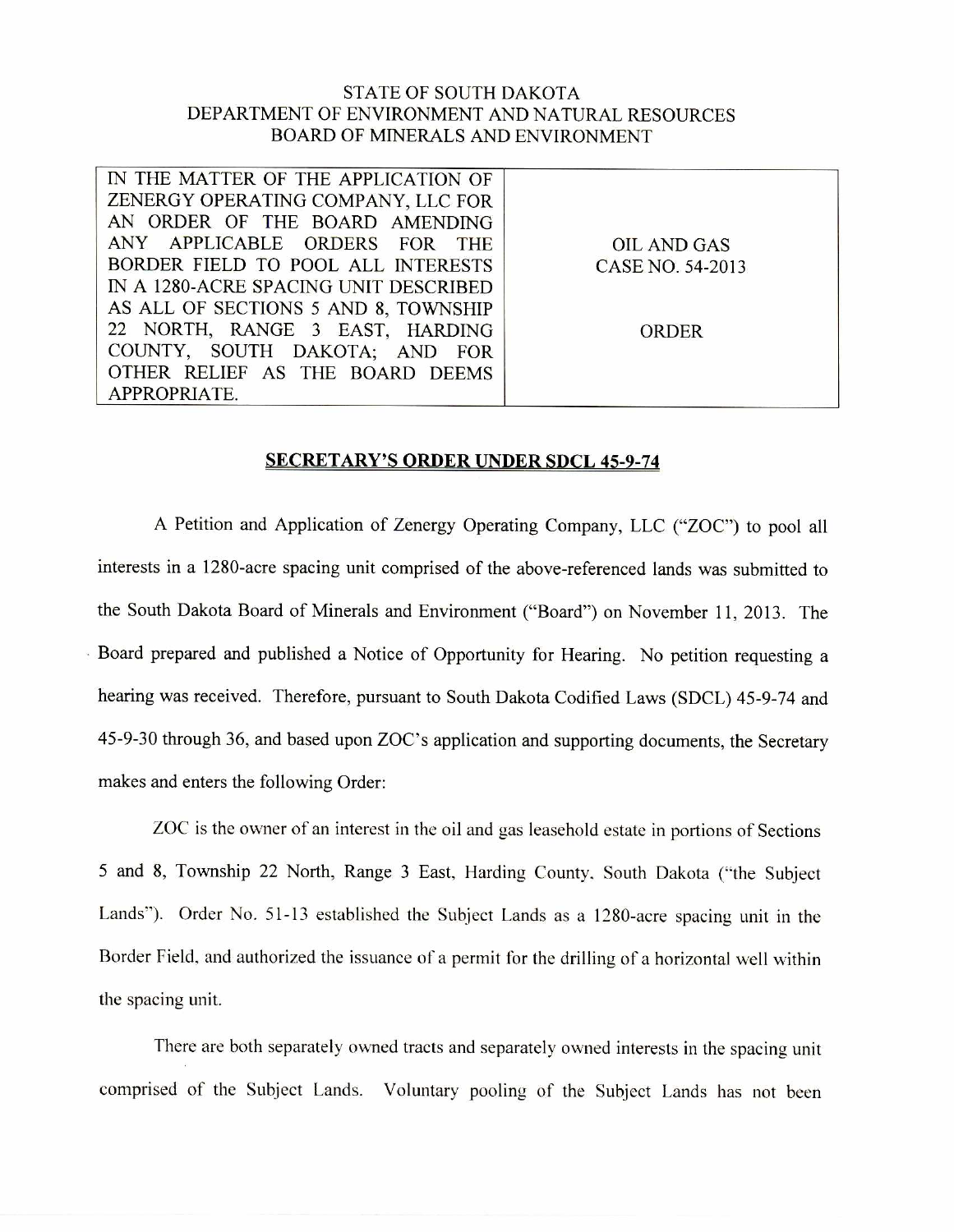## STATE OF SOUTH DAKOTA DEPARTMENT OF ENVIRONMENT AND NATURAL RESOURCES BOARD OF MINERALS AND ENVIRONMENT

| IN THE MATTER OF THE APPLICATION OF   |                  |
|---------------------------------------|------------------|
| ZENERGY OPERATING COMPANY, LLC FOR    |                  |
| AN ORDER OF THE BOARD AMENDING        |                  |
| ANY APPLICABLE ORDERS FOR THE         | OIL AND GAS      |
| BORDER FIELD TO POOL ALL INTERESTS    | CASE NO. 54-2013 |
| IN A 1280-ACRE SPACING UNIT DESCRIBED |                  |
| AS ALL OF SECTIONS 5 AND 8, TOWNSHIP  |                  |
| 22 NORTH, RANGE 3 EAST, HARDING       | ORDER            |
| COUNTY, SOUTH DAKOTA; AND FOR         |                  |
| OTHER RELIEF AS THE BOARD DEEMS       |                  |
| APPROPRIATE.                          |                  |

## SECRETARY'S ORDER UNDER SDCL 45-9-74

A Petition and Application of Zenergy Operating Company, LLC ("ZOC") to pool all interests in a 1280-acre spacing unit comprised of the above-referenced lands was submitted to the South Dakota Board of Minerals and Environment ("Board") on November 11, 2013. The Board prepared and published a Notice of Opportunity for Hearing. No petition requesting a hearing was received. Therefore, pursuant to South Dakota Codified Laws (SDCL) 45-9-74 and 45-9-30 through 36, and based upon ZOC's application and supporting documents, the Secretary makes and enters the following Order:

ZOC is the owner of an interest in the oil and gas leasehold estate in portions of Sections 5 and 8, Township 22 North, Range 3 East, Harding County, South Dakota ("the Subject Lands"). Order No. 51-13 established the Subject Lands as a 1280-acre spacing unit in the Border Field, and authorized the issuance of a permit for the drilling of a horizontal well within the spacing unit.

There are both separately owned tracts and separately owned interests in the spacing unit comprised of the Subject Lands. Voluntary pooling of the Subject Lands has not been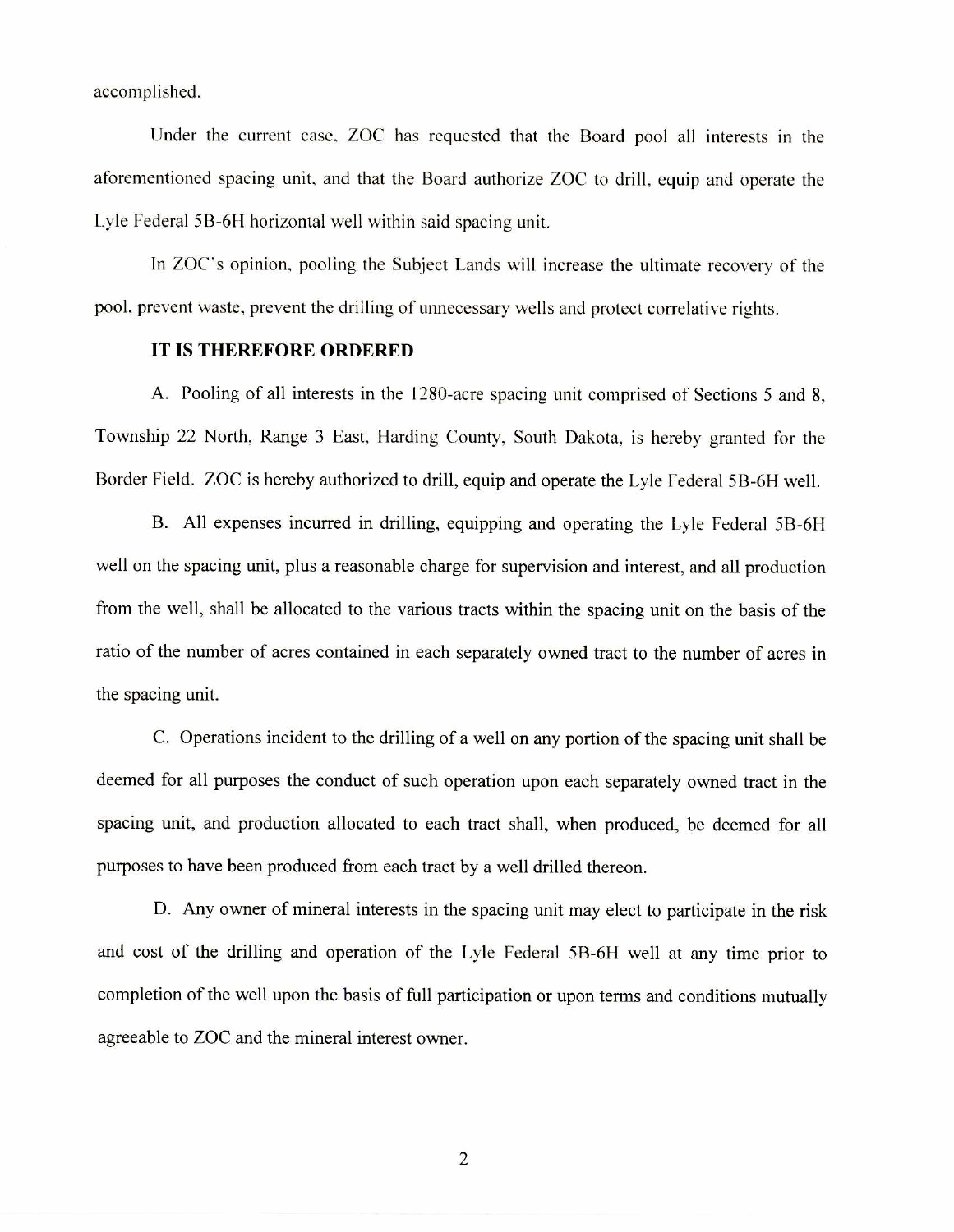accomplished.

Under the current case, ZOC has requested that the Board pool all interests in the aforementioned spacing unit, and that the Board authorize ZOC to drill, equip and operate the Lyle Federal 5B-6H horizontal well within said spacing unit.

In ZOC's opinion, pooling the Subject Lands will increase the ultimate recovery of the pool, prevent waste, prevent the drilling of unnecessary wells and protect correlative rights.

## **IT IS THEREFORE ORDERED**

A. Pooling of all interests in the 1280-acre spacing unit comprised of Sections 5 and 8, Township 22 North, Range 3 East, Harding County, South Dakota, is hereby granted for the Border Field. ZOC is hereby authorized to drill, equip and operate the Lyle Federal 5B-6H well.

B. All expenses incurred in drilling, equipping and operating the Lyle Federal 5B-611 well on the spacing unit, plus a reasonable charge for supervision and interest, and all production from the well, shall be allocated to the various tracts within the spacing unit on the basis of the ratio of the number of acres contained in each separately owned tract to the number of acres in the spacing unit.

C. Operations incident to the drilling of a well on any portion of the spacing unit shall be deemed for all purposes the conduct of such operation upon each separately owned tract in the spacing unit, and production allocated to each tract shall, when produced, be deemed for all purposes to have been produced from each tract by a well drilled thereon.

D. Any owner of mineral interests in the spacing unit may elect to participate in the risk and cost of the drilling and operation of the Lyle Federal 5B-6H well at any time prior to completion of the well upon the basis of full participation or upon terms and conditions mutually agreeable to ZOC and the mineral interest owner.

2